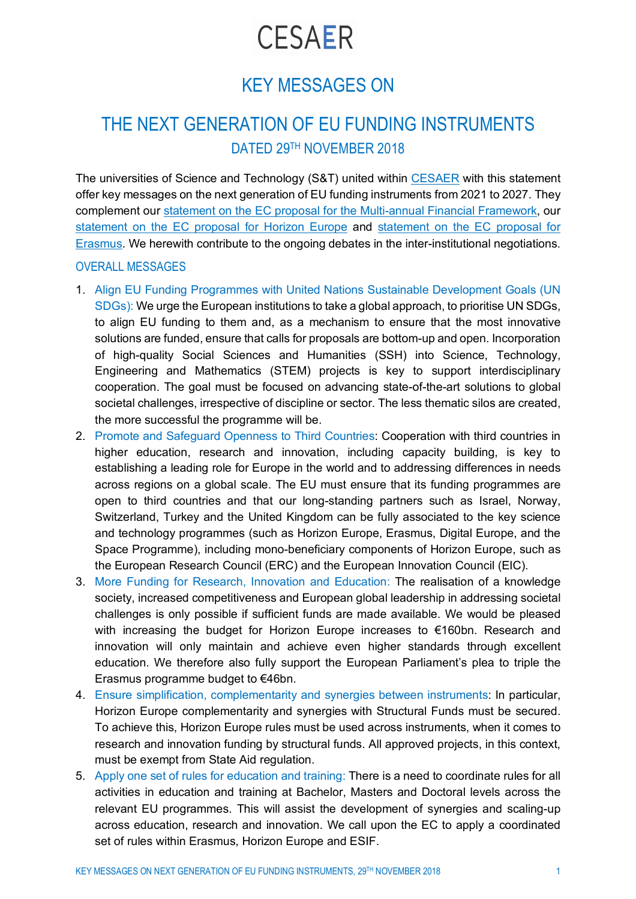# **CESAER**

## KEY MESSAGES ON

### THE NEXT GENERATION OF EU FUNDING INSTRUMENTS DATED 29TH NOVEMBER 2018

The universities of Science and Technology (S&T) united within CESAER with this statement offer key messages on the next generation of EU funding instruments from 2021 to 2027. They complement our statement on the EC proposal for the Multi-annual Financial Framework, our statement on the EC proposal for Horizon Europe and statement on the EC proposal for Erasmus. We herewith contribute to the ongoing debates in the inter-institutional negotiations.

#### OVERALL MESSAGES

- 1. Align EU Funding Programmes with United Nations Sustainable Development Goals (UN SDGs): We urge the European institutions to take a global approach, to prioritise UN SDGs, to align EU funding to them and, as a mechanism to ensure that the most innovative solutions are funded, ensure that calls for proposals are bottom-up and open. Incorporation of high-quality Social Sciences and Humanities (SSH) into Science, Technology, Engineering and Mathematics (STEM) projects is key to support interdisciplinary cooperation. The goal must be focused on advancing state-of-the-art solutions to global societal challenges, irrespective of discipline or sector. The less thematic silos are created, the more successful the programme will be.
- 2. Promote and Safeguard Openness to Third Countries: Cooperation with third countries in higher education, research and innovation, including capacity building, is key to establishing a leading role for Europe in the world and to addressing differences in needs across regions on a global scale. The EU must ensure that its funding programmes are open to third countries and that our long-standing partners such as Israel, Norway, Switzerland, Turkey and the United Kingdom can be fully associated to the key science and technology programmes (such as Horizon Europe, Erasmus, Digital Europe, and the Space Programme), including mono-beneficiary components of Horizon Europe, such as the European Research Council (ERC) and the European Innovation Council (EIC).
- 3. More Funding for Research, Innovation and Education: The realisation of a knowledge society, increased competitiveness and European global leadership in addressing societal challenges is only possible if sufficient funds are made available. We would be pleased with increasing the budget for Horizon Europe increases to €160bn. Research and innovation will only maintain and achieve even higher standards through excellent education. We therefore also fully support the European Parliament's plea to triple the Erasmus programme budget to €46bn.
- 4. Ensure simplification, complementarity and synergies between instruments: In particular, Horizon Europe complementarity and synergies with Structural Funds must be secured. To achieve this, Horizon Europe rules must be used across instruments, when it comes to research and innovation funding by structural funds. All approved projects, in this context, must be exempt from State Aid regulation.
- 5. Apply one set of rules for education and training: There is a need to coordinate rules for all activities in education and training at Bachelor, Masters and Doctoral levels across the relevant EU programmes. This will assist the development of synergies and scaling-up across education, research and innovation. We call upon the EC to apply a coordinated set of rules within Erasmus, Horizon Europe and ESIF.